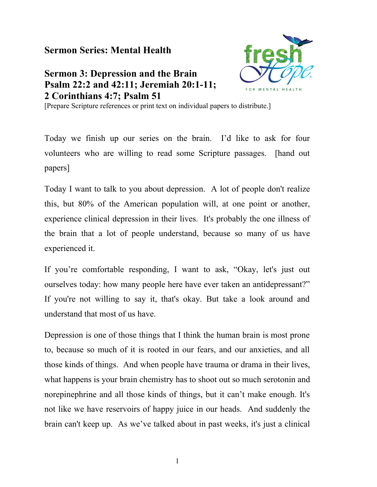## **Sermon Series: Mental Health**

## **Sermon 3: Depression and the Brain Psalm 22:2 and 42:11; Jeremiah 20:1-11; 2 Corinthians 4:7; Psalm 51**



[Prepare Scripture references or print text on individual papers to distribute.]

Today we finish up our series on the brain. I'd like to ask for four volunteers who are willing to read some Scripture passages. [hand out papers]

Today I want to talk to you about depression. A lot of people don't realize this, but 80% of the American population will, at one point or another, experience clinical depression in their lives. It's probably the one illness of the brain that a lot of people understand, because so many of us have experienced it.

If you're comfortable responding, I want to ask, "Okay, let's just out ourselves today: how many people here have ever taken an antidepressant?" If you're not willing to say it, that's okay. But take a look around and understand that most of us have.

Depression is one of those things that I think the human brain is most prone to, because so much of it is rooted in our fears, and our anxieties, and all those kinds of things. And when people have trauma or drama in their lives, what happens is your brain chemistry has to shoot out so much serotonin and norepinephrine and all those kinds of things, but it can't make enough. It's not like we have reservoirs of happy juice in our heads. And suddenly the brain can't keep up. As we've talked about in past weeks, it's just a clinical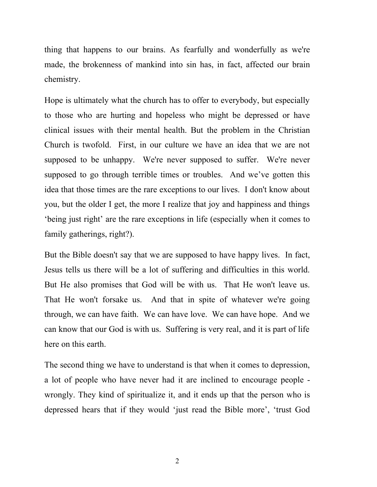thing that happens to our brains. As fearfully and wonderfully as we're made, the brokenness of mankind into sin has, in fact, affected our brain chemistry.

Hope is ultimately what the church has to offer to everybody, but especially to those who are hurting and hopeless who might be depressed or have clinical issues with their mental health. But the problem in the Christian Church is twofold. First, in our culture we have an idea that we are not supposed to be unhappy. We're never supposed to suffer. We're never supposed to go through terrible times or troubles. And we've gotten this idea that those times are the rare exceptions to our lives. I don't know about you, but the older I get, the more I realize that joy and happiness and things 'being just right' are the rare exceptions in life (especially when it comes to family gatherings, right?).

But the Bible doesn't say that we are supposed to have happy lives. In fact, Jesus tells us there will be a lot of suffering and difficulties in this world. But He also promises that God will be with us. That He won't leave us. That He won't forsake us. And that in spite of whatever we're going through, we can have faith. We can have love. We can have hope. And we can know that our God is with us. Suffering is very real, and it is part of life here on this earth.

The second thing we have to understand is that when it comes to depression, a lot of people who have never had it are inclined to encourage people wrongly. They kind of spiritualize it, and it ends up that the person who is depressed hears that if they would 'just read the Bible more', 'trust God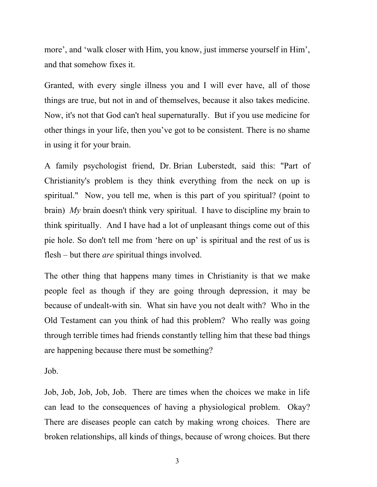more', and 'walk closer with Him, you know, just immerse yourself in Him', and that somehow fixes it.

Granted, with every single illness you and I will ever have, all of those things are true, but not in and of themselves, because it also takes medicine. Now, it's not that God can't heal supernaturally. But if you use medicine for other things in your life, then you've got to be consistent. There is no shame in using it for your brain.

A family psychologist friend, Dr. Brian Luberstedt, said this: "Part of Christianity's problem is they think everything from the neck on up is spiritual." Now, you tell me, when is this part of you spiritual? (point to brain) *My* brain doesn't think very spiritual. I have to discipline my brain to think spiritually. And I have had a lot of unpleasant things come out of this pie hole. So don't tell me from 'here on up' is spiritual and the rest of us is flesh – but there *are* spiritual things involved.

The other thing that happens many times in Christianity is that we make people feel as though if they are going through depression, it may be because of undealt-with sin. What sin have you not dealt with? Who in the Old Testament can you think of had this problem? Who really was going through terrible times had friends constantly telling him that these bad things are happening because there must be something?

Job.

Job, Job, Job, Job, Job. There are times when the choices we make in life can lead to the consequences of having a physiological problem. Okay? There are diseases people can catch by making wrong choices. There are broken relationships, all kinds of things, because of wrong choices. But there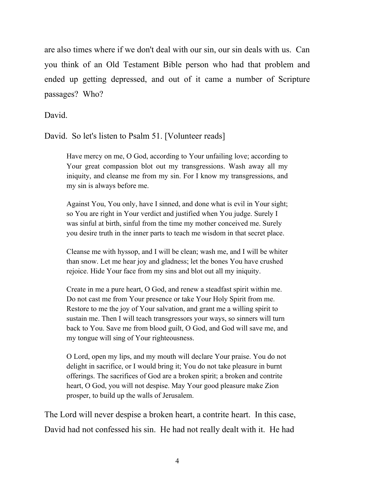are also times where if we don't deal with our sin, our sin deals with us. Can you think of an Old Testament Bible person who had that problem and ended up getting depressed, and out of it came a number of Scripture passages? Who?

David.

David. So let's listen to Psalm 51. [Volunteer reads]

Have mercy on me, O God, according to Your unfailing love; according to Your great compassion blot out my transgressions. Wash away all my iniquity, and cleanse me from my sin. For I know my transgressions, and my sin is always before me.

Against You, You only, have I sinned, and done what is evil in Your sight; so You are right in Your verdict and justified when You judge. Surely I was sinful at birth, sinful from the time my mother conceived me. Surely you desire truth in the inner parts to teach me wisdom in that secret place.

Cleanse me with hyssop, and I will be clean; wash me, and I will be whiter than snow. Let me hear joy and gladness; let the bones You have crushed rejoice. Hide Your face from my sins and blot out all my iniquity.

Create in me a pure heart, O God, and renew a steadfast spirit within me. Do not cast me from Your presence or take Your Holy Spirit from me. Restore to me the joy of Your salvation, and grant me a willing spirit to sustain me. Then I will teach transgressors your ways, so sinners will turn back to You. Save me from blood guilt, O God, and God will save me, and my tongue will sing of Your righteousness.

O Lord, open my lips, and my mouth will declare Your praise. You do not delight in sacrifice, or I would bring it; You do not take pleasure in burnt offerings. The sacrifices of God are a broken spirit; a broken and contrite heart, O God, you will not despise. May Your good pleasure make Zion prosper, to build up the walls of Jerusalem.

The Lord will never despise a broken heart, a contrite heart. In this case, David had not confessed his sin. He had not really dealt with it. He had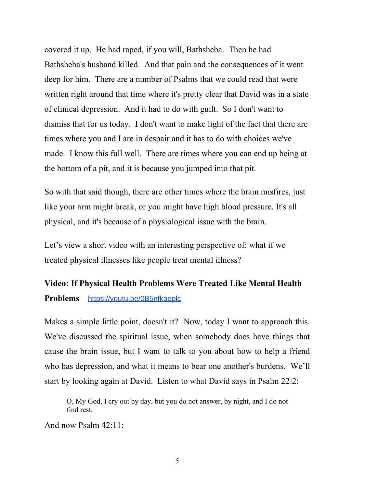covered it up. He had raped, if you will, Bathsheba. Then he had Bathsheba's husband killed. And that pain and the consequences of it went deep for him. There are a number of Psalms that we could read that were written right around that time where it's pretty clear that David was in a state of clinical depression. And it had to do with guilt. So I don't want to dismiss that for us today. I don't want to make light of the fact that there are times where you and I are in despair and it has to do with choices we've made. I know this full well. There are times where you can end up being at the bottom of a pit, and it is because you jumped into that pit.

So with that said though, there are other times where the brain misfires, just like your arm might break, or you might have high blood pressure. It's all physical, and it's because of a physiological issue with the brain.

Let's view a short video with an interesting perspective of: what if we treated physical illnesses like people treat mental illness?

## **Video: If Physical Health Problems Were Treated Like Mental Health Problems** <https://youtu.be/0B5nfkaeplc>

Makes a simple little point, doesn't it? Now, today I want to approach this. We've discussed the spiritual issue, when somebody does have things that cause the brain issue, but I want to talk to you about how to help a friend who has depression, and what it means to bear one another's burdens. We'll start by looking again at David. Listen to what David says in Psalm 22:2:

O, My God, I cry out by day, but you do not answer, by night, and I do not find rest.

And now Psalm 42:11: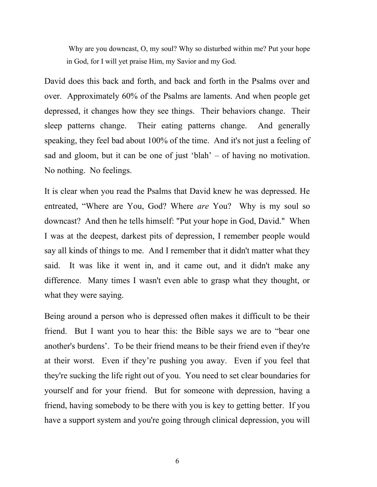Why are you downcast, O, my soul? Why so disturbed within me? Put your hope in God, for I will yet praise Him, my Savior and my God.

David does this back and forth, and back and forth in the Psalms over and over. Approximately 60% of the Psalms are laments. And when people get depressed, it changes how they see things. Their behaviors change. Their sleep patterns change. Their eating patterns change. And generally speaking, they feel bad about 100% of the time. And it's not just a feeling of sad and gloom, but it can be one of just 'blah' – of having no motivation. No nothing. No feelings.

It is clear when you read the Psalms that David knew he was depressed. He entreated, "Where are You, God? Where *are* You? Why is my soul so downcast? And then he tells himself: "Put your hope in God, David." When I was at the deepest, darkest pits of depression, I remember people would say all kinds of things to me. And I remember that it didn't matter what they said. It was like it went in, and it came out, and it didn't make any difference. Many times I wasn't even able to grasp what they thought, or what they were saying.

Being around a person who is depressed often makes it difficult to be their friend. But I want you to hear this: the Bible says we are to "bear one another's burdens'. To be their friend means to be their friend even if they're at their worst. Even if they're pushing you away. Even if you feel that they're sucking the life right out of you. You need to set clear boundaries for yourself and for your friend. But for someone with depression, having a friend, having somebody to be there with you is key to getting better. If you have a support system and you're going through clinical depression, you will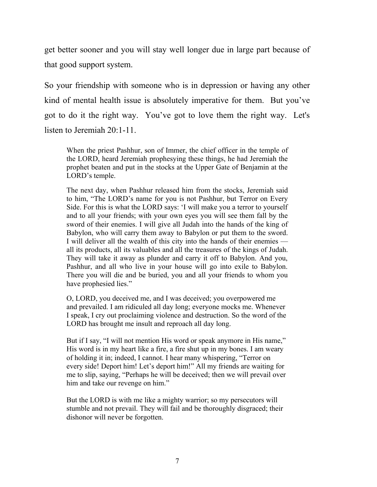get better sooner and you will stay well longer due in large part because of that good support system.

So your friendship with someone who is in depression or having any other kind of mental health issue is absolutely imperative for them. But you've got to do it the right way. You've got to love them the right way. Let's listen to Jeremiah 20:1-11.

When the priest Pashhur, son of Immer, the chief officer in the temple of the LORD, heard Jeremiah prophesying these things, he had Jeremiah the prophet beaten and put in the stocks at the Upper Gate of Benjamin at the LORD's temple.

The next day, when Pashhur released him from the stocks, Jeremiah said to him, "The LORD's name for you is not Pashhur, but Terror on Every Side. For this is what the LORD says: 'I will make you a terror to yourself and to all your friends; with your own eyes you will see them fall by the sword of their enemies. I will give all Judah into the hands of the king of Babylon, who will carry them away to Babylon or put them to the sword. I will deliver all the wealth of this city into the hands of their enemies all its products, all its valuables and all the treasures of the kings of Judah. They will take it away as plunder and carry it off to Babylon. And you, Pashhur, and all who live in your house will go into exile to Babylon. There you will die and be buried, you and all your friends to whom you have prophesied lies."

O, LORD, you deceived me, and I was deceived; you overpowered me and prevailed. I am ridiculed all day long; everyone mocks me. Whenever I speak, I cry out proclaiming violence and destruction. So the word of the LORD has brought me insult and reproach all day long.

But if I say, "I will not mention His word or speak anymore in His name," His word is in my heart like a fire, a fire shut up in my bones. I am weary of holding it in; indeed, I cannot. I hear many whispering, "Terror on every side! Deport him! Let's deport him!" All my friends are waiting for me to slip, saying, "Perhaps he will be deceived; then we will prevail over him and take our revenge on him."

But the LORD is with me like a mighty warrior; so my persecutors will stumble and not prevail. They will fail and be thoroughly disgraced; their dishonor will never be forgotten.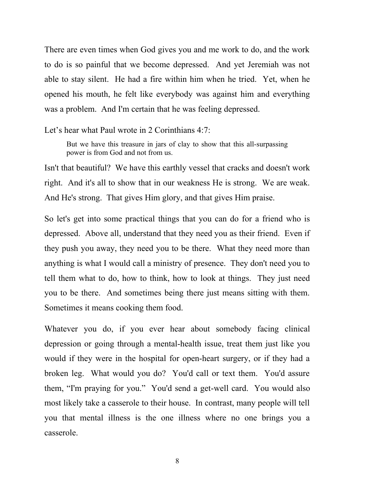There are even times when God gives you and me work to do, and the work to do is so painful that we become depressed. And yet Jeremiah was not able to stay silent. He had a fire within him when he tried. Yet, when he opened his mouth, he felt like everybody was against him and everything was a problem. And I'm certain that he was feeling depressed.

Let's hear what Paul wrote in 2 Corinthians 4:7:

But we have this treasure in jars of clay to show that this all-surpassing power is from God and not from us.

Isn't that beautiful? We have this earthly vessel that cracks and doesn't work right. And it's all to show that in our weakness He is strong. We are weak. And He's strong. That gives Him glory, and that gives Him praise.

So let's get into some practical things that you can do for a friend who is depressed. Above all, understand that they need you as their friend. Even if they push you away, they need you to be there. What they need more than anything is what I would call a ministry of presence. They don't need you to tell them what to do, how to think, how to look at things. They just need you to be there. And sometimes being there just means sitting with them. Sometimes it means cooking them food.

Whatever you do, if you ever hear about somebody facing clinical depression or going through a mental-health issue, treat them just like you would if they were in the hospital for open-heart surgery, or if they had a broken leg. What would you do? You'd call or text them. You'd assure them, "I'm praying for you." You'd send a get-well card. You would also most likely take a casserole to their house. In contrast, many people will tell you that mental illness is the one illness where no one brings you a casserole.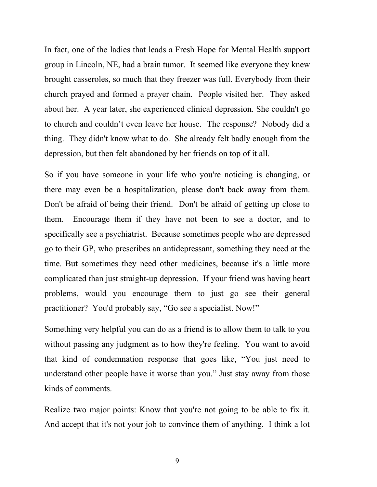In fact, one of the ladies that leads a Fresh Hope for Mental Health support group in Lincoln, NE, had a brain tumor. It seemed like everyone they knew brought casseroles, so much that they freezer was full. Everybody from their church prayed and formed a prayer chain. People visited her. They asked about her. A year later, she experienced clinical depression. She couldn't go to church and couldn't even leave her house. The response? Nobody did a thing. They didn't know what to do. She already felt badly enough from the depression, but then felt abandoned by her friends on top of it all.

So if you have someone in your life who you're noticing is changing, or there may even be a hospitalization, please don't back away from them. Don't be afraid of being their friend. Don't be afraid of getting up close to them. Encourage them if they have not been to see a doctor, and to specifically see a psychiatrist. Because sometimes people who are depressed go to their GP, who prescribes an antidepressant, something they need at the time. But sometimes they need other medicines, because it's a little more complicated than just straight-up depression. If your friend was having heart problems, would you encourage them to just go see their general practitioner? You'd probably say, "Go see a specialist. Now!"

Something very helpful you can do as a friend is to allow them to talk to you without passing any judgment as to how they're feeling. You want to avoid that kind of condemnation response that goes like, "You just need to understand other people have it worse than you." Just stay away from those kinds of comments.

Realize two major points: Know that you're not going to be able to fix it. And accept that it's not your job to convince them of anything. I think a lot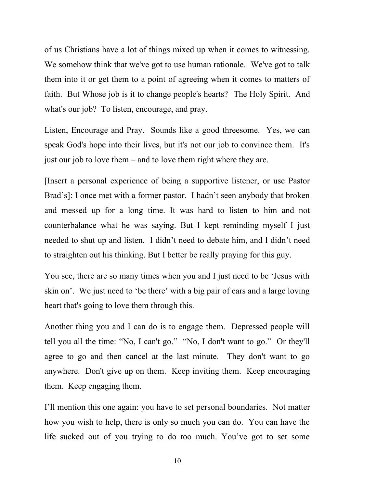of us Christians have a lot of things mixed up when it comes to witnessing. We somehow think that we've got to use human rationale. We've got to talk them into it or get them to a point of agreeing when it comes to matters of faith. But Whose job is it to change people's hearts? The Holy Spirit. And what's our job? To listen, encourage, and pray.

Listen, Encourage and Pray. Sounds like a good threesome. Yes, we can speak God's hope into their lives, but it's not our job to convince them. It's just our job to love them – and to love them right where they are.

[Insert a personal experience of being a supportive listener, or use Pastor Brad's]: I once met with a former pastor. I hadn't seen anybody that broken and messed up for a long time. It was hard to listen to him and not counterbalance what he was saying. But I kept reminding myself I just needed to shut up and listen. I didn't need to debate him, and I didn't need to straighten out his thinking. But I better be really praying for this guy.

You see, there are so many times when you and I just need to be 'Jesus with skin on'. We just need to 'be there' with a big pair of ears and a large loving heart that's going to love them through this.

Another thing you and I can do is to engage them. Depressed people will tell you all the time: "No, I can't go." "No, I don't want to go." Or they'll agree to go and then cancel at the last minute. They don't want to go anywhere. Don't give up on them. Keep inviting them. Keep encouraging them. Keep engaging them.

I'll mention this one again: you have to set personal boundaries. Not matter how you wish to help, there is only so much you can do. You can have the life sucked out of you trying to do too much. You've got to set some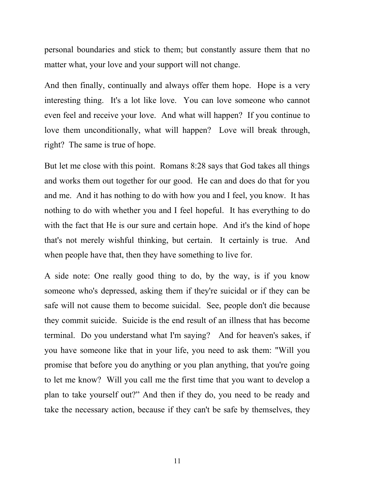personal boundaries and stick to them; but constantly assure them that no matter what, your love and your support will not change.

And then finally, continually and always offer them hope. Hope is a very interesting thing. It's a lot like love. You can love someone who cannot even feel and receive your love. And what will happen? If you continue to love them unconditionally, what will happen? Love will break through, right? The same is true of hope.

But let me close with this point. Romans 8:28 says that God takes all things and works them out together for our good. He can and does do that for you and me. And it has nothing to do with how you and I feel, you know. It has nothing to do with whether you and I feel hopeful. It has everything to do with the fact that He is our sure and certain hope. And it's the kind of hope that's not merely wishful thinking, but certain. It certainly is true. And when people have that, then they have something to live for.

A side note: One really good thing to do, by the way, is if you know someone who's depressed, asking them if they're suicidal or if they can be safe will not cause them to become suicidal. See, people don't die because they commit suicide. Suicide is the end result of an illness that has become terminal. Do you understand what I'm saying? And for heaven's sakes, if you have someone like that in your life, you need to ask them: "Will you promise that before you do anything or you plan anything, that you're going to let me know? Will you call me the first time that you want to develop a plan to take yourself out?" And then if they do, you need to be ready and take the necessary action, because if they can't be safe by themselves, they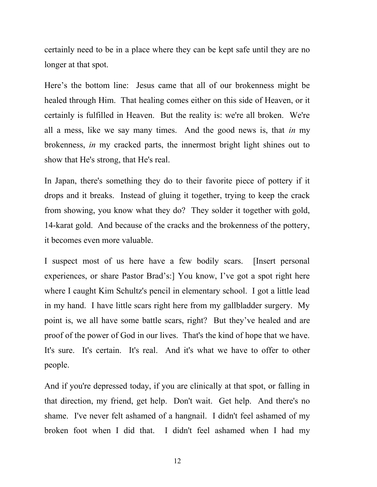certainly need to be in a place where they can be kept safe until they are no longer at that spot.

Here's the bottom line: Jesus came that all of our brokenness might be healed through Him. That healing comes either on this side of Heaven, or it certainly is fulfilled in Heaven. But the reality is: we're all broken. We're all a mess, like we say many times. And the good news is, that *in* my brokenness, *in* my cracked parts, the innermost bright light shines out to show that He's strong, that He's real.

In Japan, there's something they do to their favorite piece of pottery if it drops and it breaks. Instead of gluing it together, trying to keep the crack from showing, you know what they do? They solder it together with gold, 14-karat gold. And because of the cracks and the brokenness of the pottery, it becomes even more valuable.

I suspect most of us here have a few bodily scars. [Insert personal experiences, or share Pastor Brad's:] You know, I've got a spot right here where I caught Kim Schultz's pencil in elementary school. I got a little lead in my hand. I have little scars right here from my gallbladder surgery. My point is, we all have some battle scars, right? But they've healed and are proof of the power of God in our lives. That's the kind of hope that we have. It's sure. It's certain. It's real. And it's what we have to offer to other people.

And if you're depressed today, if you are clinically at that spot, or falling in that direction, my friend, get help. Don't wait. Get help. And there's no shame. I've never felt ashamed of a hangnail. I didn't feel ashamed of my broken foot when I did that. I didn't feel ashamed when I had my